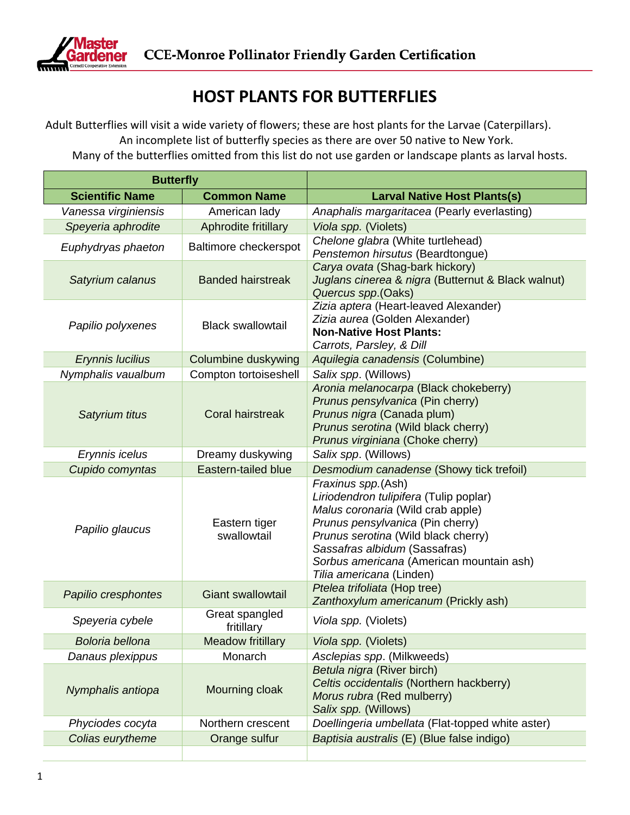

## **HOST PLANTS FOR BUTTERFLIES**

 Adult Butterflies will visit a wide variety of flowers; these are host plants for the Larvae (Caterpillars). An incomplete list of butterfly species as there are over 50 native to New York. Many of the butterflies omitted from this list do not use garden or landscape plants as larval hosts.

| <b>Butterfly</b>       |                              |                                                                                                                                                                                                                                                                                       |
|------------------------|------------------------------|---------------------------------------------------------------------------------------------------------------------------------------------------------------------------------------------------------------------------------------------------------------------------------------|
| <b>Scientific Name</b> | <b>Common Name</b>           | <b>Larval Native Host Plants(s)</b>                                                                                                                                                                                                                                                   |
| Vanessa virginiensis   | American lady                | Anaphalis margaritacea (Pearly everlasting)                                                                                                                                                                                                                                           |
| Speyeria aphrodite     | Aphrodite fritillary         | Viola spp. (Violets)                                                                                                                                                                                                                                                                  |
| Euphydryas phaeton     | Baltimore checkerspot        | Chelone glabra (White turtlehead)<br>Penstemon hirsutus (Beardtongue)                                                                                                                                                                                                                 |
| Satyrium calanus       | <b>Banded hairstreak</b>     | Carya ovata (Shag-bark hickory)<br>Juglans cinerea & nigra (Butternut & Black walnut)<br>Quercus spp.(Oaks)                                                                                                                                                                           |
| Papilio polyxenes      | <b>Black swallowtail</b>     | Zizia aptera (Heart-leaved Alexander)<br>Zizia aurea (Golden Alexander)<br><b>Non-Native Host Plants:</b><br>Carrots, Parsley, & Dill                                                                                                                                                 |
| Erynnis lucilius       | Columbine duskywing          | Aquilegia canadensis (Columbine)                                                                                                                                                                                                                                                      |
| Nymphalis vaualbum     | Compton tortoiseshell        | Salix spp. (Willows)                                                                                                                                                                                                                                                                  |
| Satyrium titus         | <b>Coral hairstreak</b>      | Aronia melanocarpa (Black chokeberry)<br>Prunus pensylvanica (Pin cherry)<br>Prunus nigra (Canada plum)<br>Prunus serotina (Wild black cherry)<br>Prunus virginiana (Choke cherry)                                                                                                    |
| Erynnis icelus         | Dreamy duskywing             | Salix spp. (Willows)                                                                                                                                                                                                                                                                  |
| Cupido comyntas        | <b>Eastern-tailed blue</b>   | Desmodium canadense (Showy tick trefoil)                                                                                                                                                                                                                                              |
| Papilio glaucus        | Eastern tiger<br>swallowtail | Fraxinus spp.(Ash)<br>Liriodendron tulipifera (Tulip poplar)<br>Malus coronaria (Wild crab apple)<br>Prunus pensylvanica (Pin cherry)<br>Prunus serotina (Wild black cherry)<br>Sassafras albidum (Sassafras)<br>Sorbus americana (American mountain ash)<br>Tilia americana (Linden) |
| Papilio cresphontes    | <b>Giant swallowtail</b>     | Ptelea trifoliata (Hop tree)<br>Zanthoxylum americanum (Prickly ash)                                                                                                                                                                                                                  |
| Speyeria cybele        | Great spangled<br>fritillary | Viola spp. (Violets)                                                                                                                                                                                                                                                                  |
| Boloria bellona        | <b>Meadow fritillary</b>     | Viola spp. (Violets)                                                                                                                                                                                                                                                                  |
| Danaus plexippus       | Monarch                      | Asclepias spp. (Milkweeds)                                                                                                                                                                                                                                                            |
| Nymphalis antiopa      | Mourning cloak               | Betula nigra (River birch)<br>Celtis occidentalis (Northern hackberry)<br>Morus rubra (Red mulberry)<br>Salix spp. (Willows)                                                                                                                                                          |
| Phyciodes cocyta       | Northern crescent            | Doellingeria umbellata (Flat-topped white aster)                                                                                                                                                                                                                                      |
| Colias eurytheme       | Orange sulfur                | Baptisia australis (E) (Blue false indigo)                                                                                                                                                                                                                                            |
|                        |                              |                                                                                                                                                                                                                                                                                       |